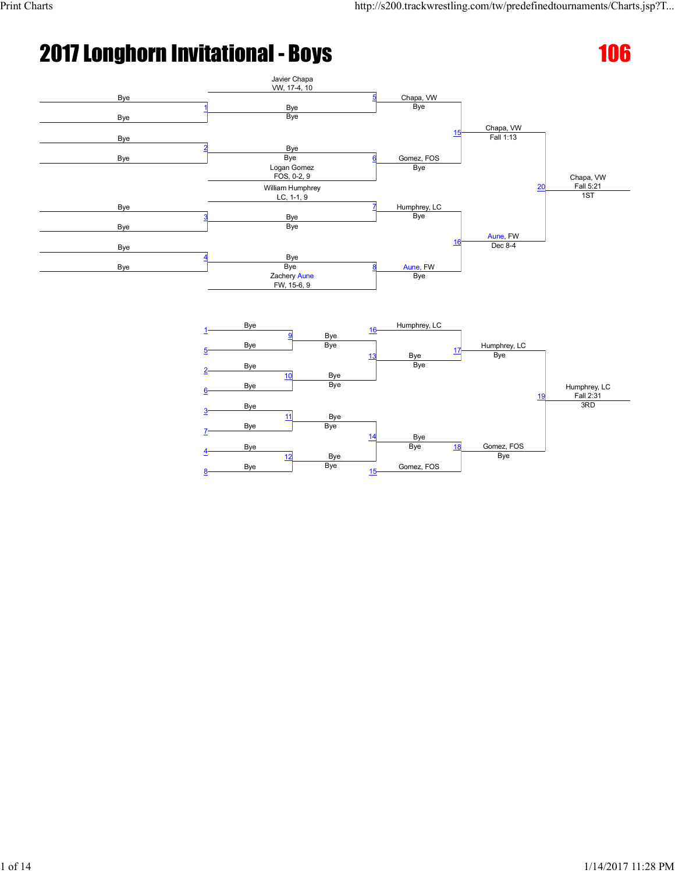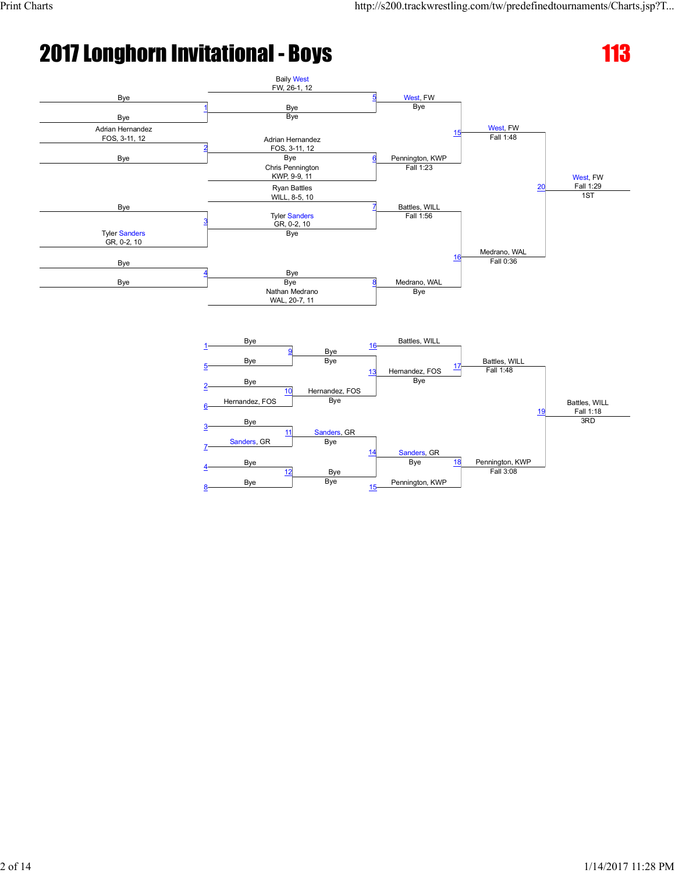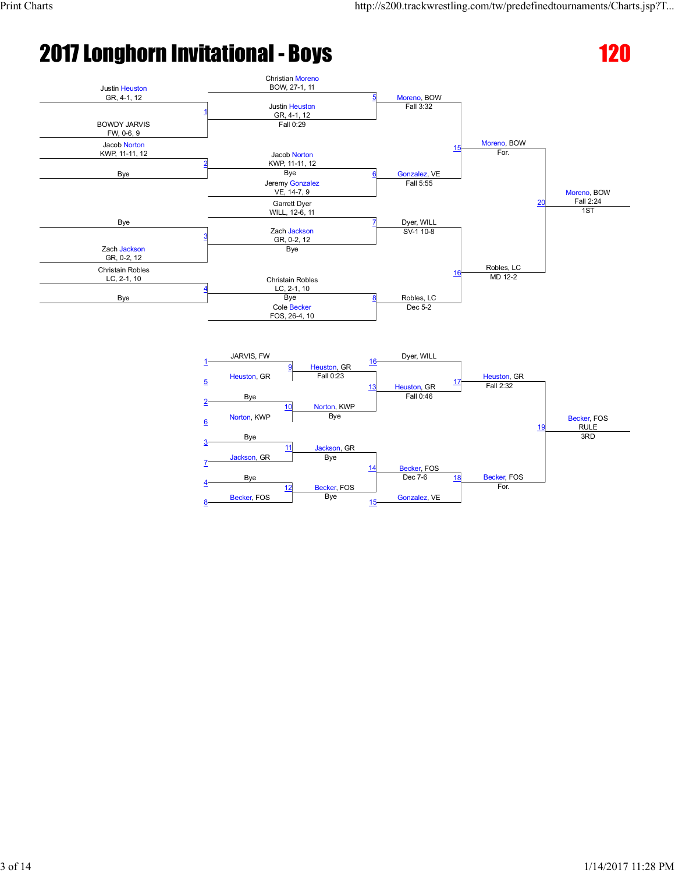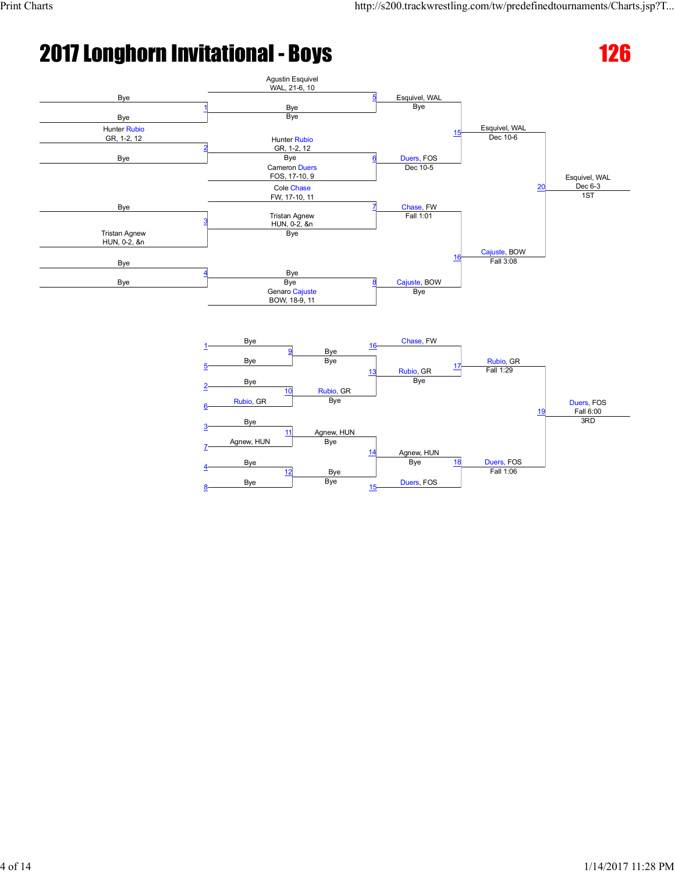8

Bye Bye



Duers, FOS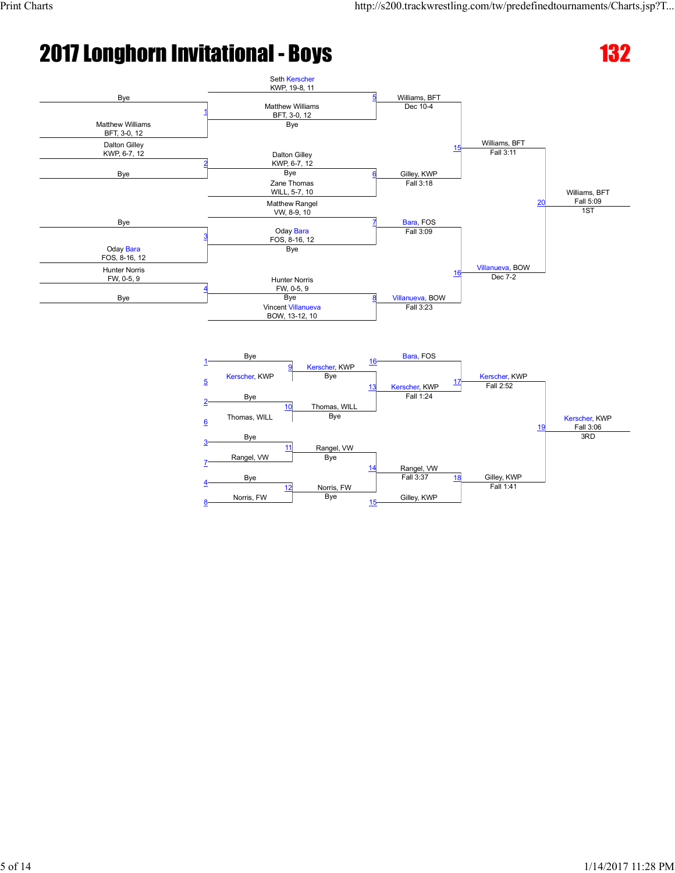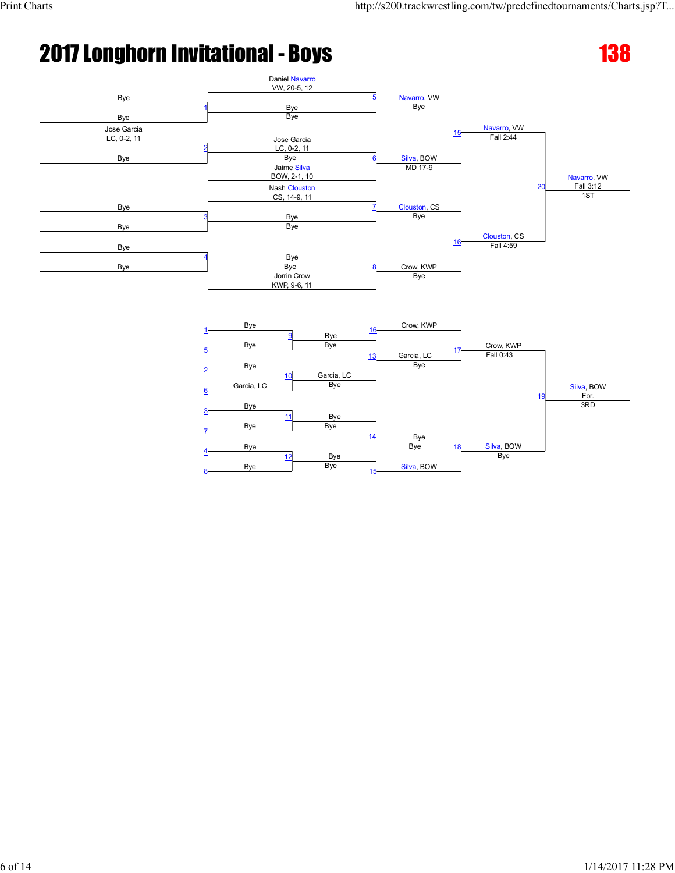

Bye

Bye<br>Bye

 $14$ 

 $15$ 

11

12

Bye

Bye Bye

Bye Bye

7

8

Bye

Silva, BOW

Bye <u>18</u>

Silva, BOW

Bye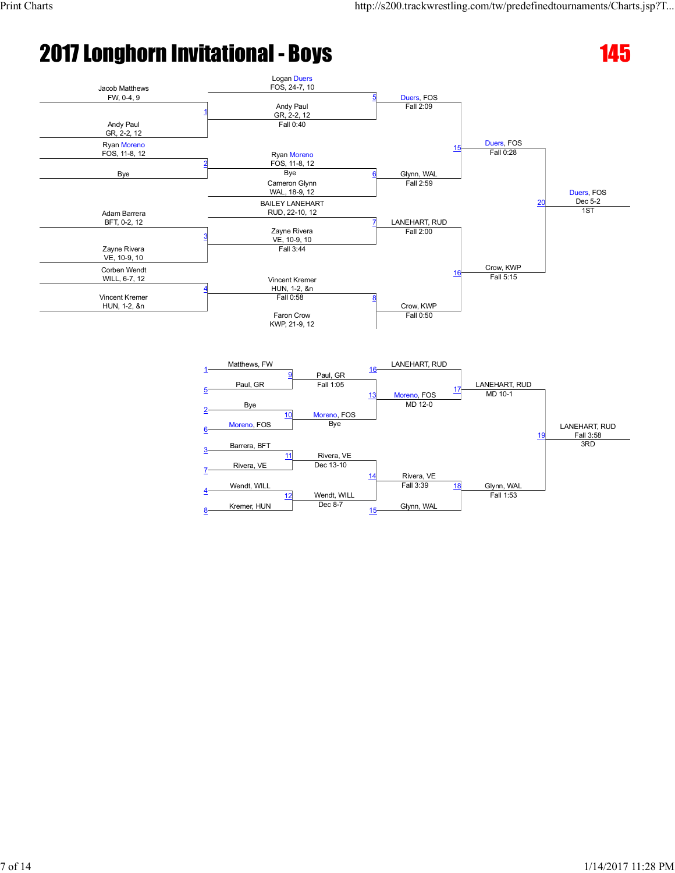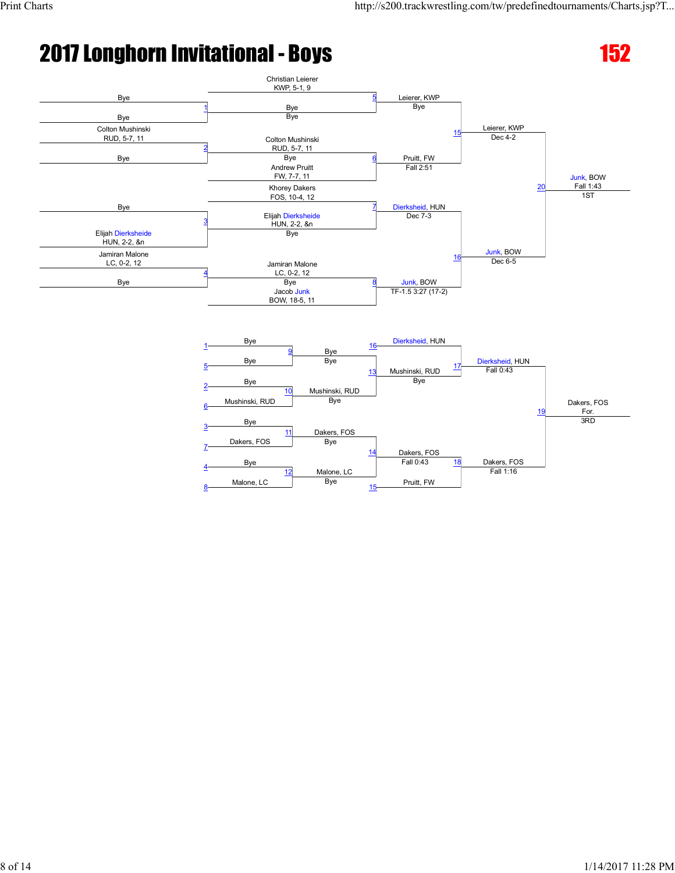7

8

Dakers, FOS Bye

12

Malone, LC Bye

Bye



Dakers, FOS

Pruitt, FW

Fall 0:43 18

14

15

Malone, LC

Dakers, FOS

Fall 1:16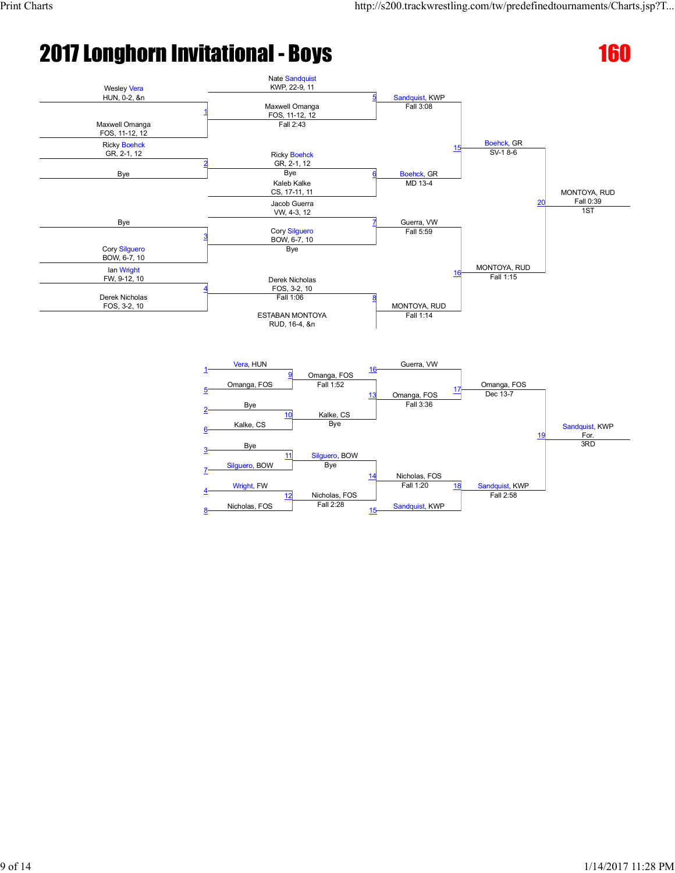

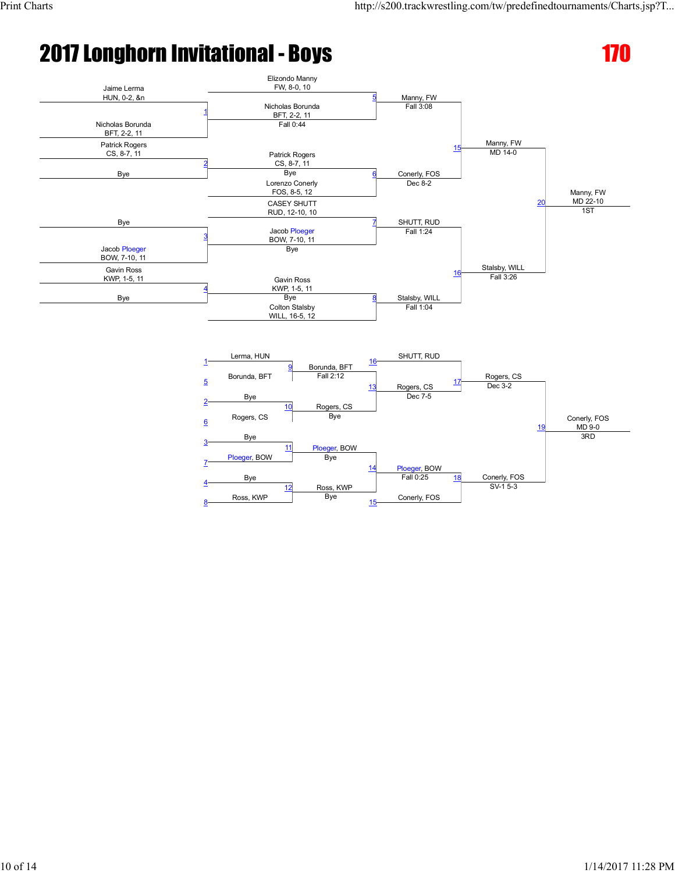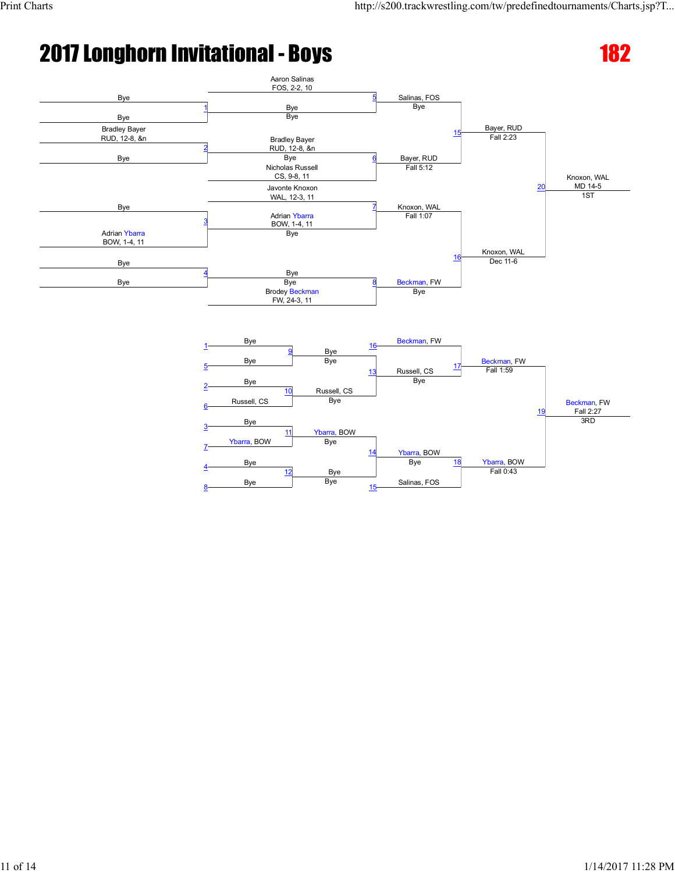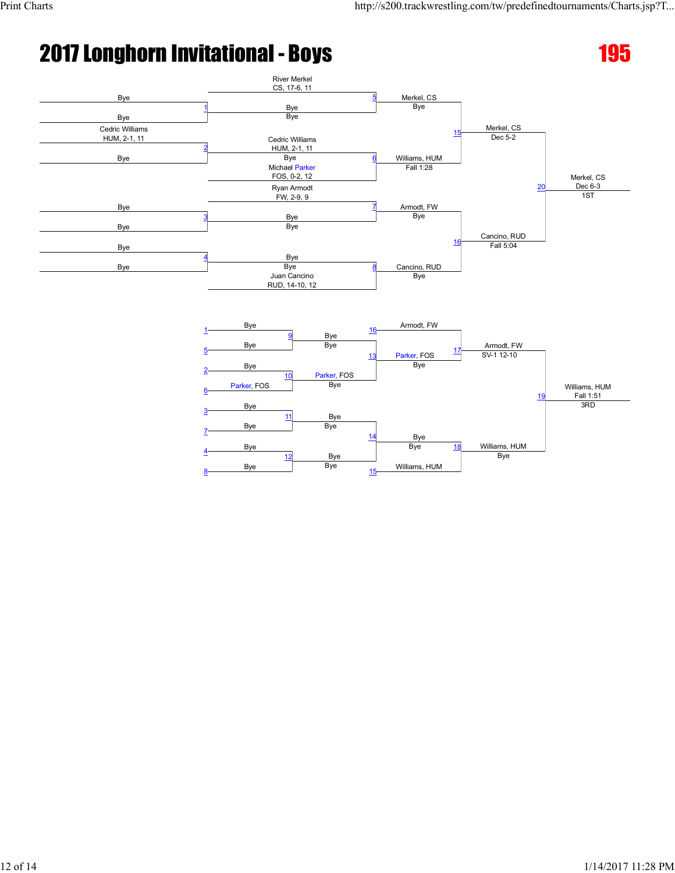8

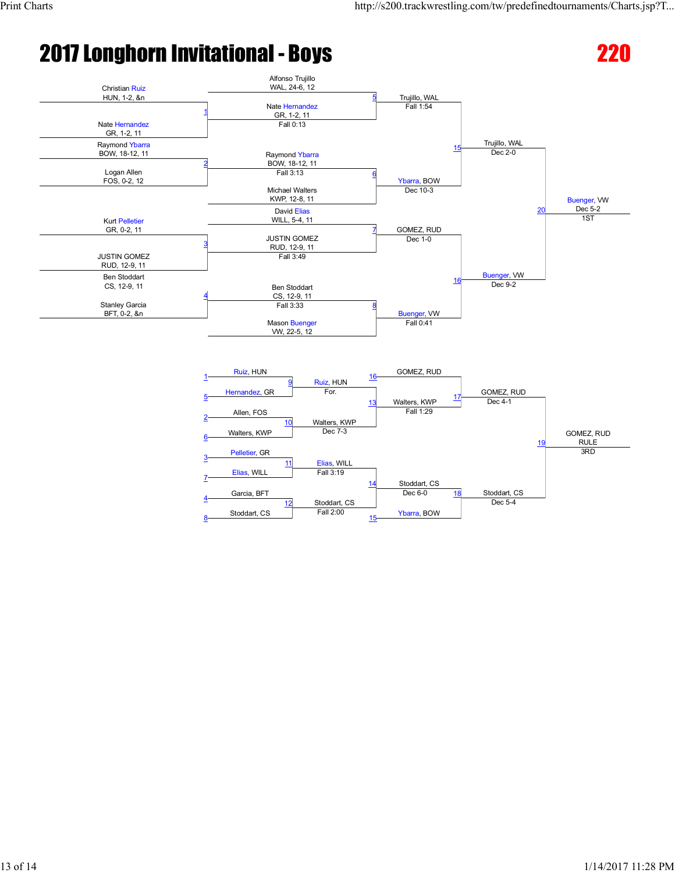19

Stoddart, CS

Dec 5-4

GOMEZ, RUD RULE

3RD

# 2017 Longhorn Invitational - Boys 220



Elias, WILL<br>Fall 3:19

Stoddart, CS<br>Fall 2:00

14

15

Stoddart, CS

Ybarra, BOW

 $Dec 6-0$  18

10

11

12

Walters, KWP Pelletier, GR

Elias, WILL

Garcia, BFT <sup>4</sup>

Stoddart, CS

6

7